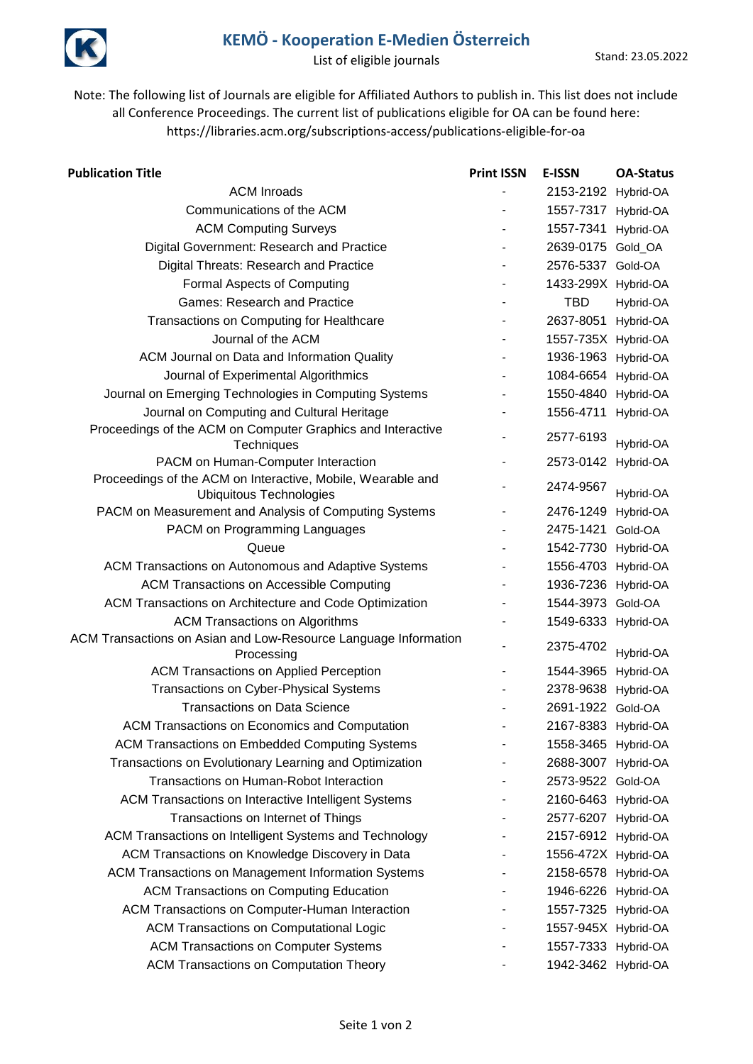

## **KEMÖ - Kooperation E-Medien Österreich**

List of eligible journals Stand: 23.05.2022

Note: The following list of Journals are eligible for Affiliated Authors to publish in. This list does not include all Conference Proceedings. The current list of publications eligible for OA can be found here: https://libraries.acm.org/subscriptions-access/publications-eligible-for-oa

| <b>Publication Title</b>                                                                      | <b>Print ISSN</b> | E-ISSN              | <b>OA-Status</b> |
|-----------------------------------------------------------------------------------------------|-------------------|---------------------|------------------|
| <b>ACM Inroads</b>                                                                            |                   | 2153-2192 Hybrid-OA |                  |
| Communications of the ACM                                                                     |                   | 1557-7317 Hybrid-OA |                  |
| <b>ACM Computing Surveys</b>                                                                  |                   | 1557-7341 Hybrid-OA |                  |
| Digital Government: Research and Practice                                                     |                   | 2639-0175 Gold_OA   |                  |
| Digital Threats: Research and Practice                                                        |                   | 2576-5337 Gold-OA   |                  |
| Formal Aspects of Computing                                                                   |                   | 1433-299X Hybrid-OA |                  |
| <b>Games: Research and Practice</b>                                                           |                   | <b>TBD</b>          | Hybrid-OA        |
| Transactions on Computing for Healthcare                                                      |                   | 2637-8051 Hybrid-OA |                  |
| Journal of the ACM                                                                            |                   | 1557-735X Hybrid-OA |                  |
| ACM Journal on Data and Information Quality                                                   |                   | 1936-1963 Hybrid-OA |                  |
| Journal of Experimental Algorithmics                                                          |                   | 1084-6654 Hybrid-OA |                  |
| Journal on Emerging Technologies in Computing Systems                                         |                   | 1550-4840 Hybrid-OA |                  |
| Journal on Computing and Cultural Heritage                                                    |                   | 1556-4711 Hybrid-OA |                  |
| Proceedings of the ACM on Computer Graphics and Interactive                                   |                   | 2577-6193           |                  |
| Techniques                                                                                    |                   |                     | Hybrid-OA        |
| PACM on Human-Computer Interaction                                                            |                   | 2573-0142 Hybrid-OA |                  |
| Proceedings of the ACM on Interactive, Mobile, Wearable and<br><b>Ubiquitous Technologies</b> |                   | 2474-9567           | Hybrid-OA        |
| PACM on Measurement and Analysis of Computing Systems                                         |                   | 2476-1249 Hybrid-OA |                  |
| PACM on Programming Languages                                                                 |                   | 2475-1421           | Gold-OA          |
| Queue                                                                                         |                   | 1542-7730 Hybrid-OA |                  |
| ACM Transactions on Autonomous and Adaptive Systems                                           |                   | 1556-4703 Hybrid-OA |                  |
| <b>ACM Transactions on Accessible Computing</b>                                               |                   | 1936-7236 Hybrid-OA |                  |
| ACM Transactions on Architecture and Code Optimization                                        |                   | 1544-3973 Gold-OA   |                  |
| <b>ACM Transactions on Algorithms</b>                                                         |                   | 1549-6333 Hybrid-OA |                  |
| ACM Transactions on Asian and Low-Resource Language Information                               |                   |                     |                  |
| Processing                                                                                    |                   | 2375-4702           | Hybrid-OA        |
| <b>ACM Transactions on Applied Perception</b>                                                 |                   | 1544-3965 Hybrid-OA |                  |
| <b>Transactions on Cyber-Physical Systems</b>                                                 |                   | 2378-9638 Hybrid-OA |                  |
| <b>Transactions on Data Science</b>                                                           |                   | 2691-1922 Gold-OA   |                  |
| ACM Transactions on Economics and Computation                                                 |                   | 2167-8383 Hybrid-OA |                  |
| <b>ACM Transactions on Embedded Computing Systems</b>                                         |                   | 1558-3465 Hybrid-OA |                  |
| Transactions on Evolutionary Learning and Optimization                                        |                   | 2688-3007 Hybrid-OA |                  |
| Transactions on Human-Robot Interaction                                                       |                   | 2573-9522 Gold-OA   |                  |
| ACM Transactions on Interactive Intelligent Systems                                           |                   | 2160-6463 Hybrid-OA |                  |
| Transactions on Internet of Things                                                            |                   | 2577-6207 Hybrid-OA |                  |
| ACM Transactions on Intelligent Systems and Technology                                        |                   | 2157-6912 Hybrid-OA |                  |
| ACM Transactions on Knowledge Discovery in Data                                               |                   | 1556-472X Hybrid-OA |                  |
| <b>ACM Transactions on Management Information Systems</b>                                     |                   | 2158-6578 Hybrid-OA |                  |
| <b>ACM Transactions on Computing Education</b>                                                |                   | 1946-6226 Hybrid-OA |                  |
| ACM Transactions on Computer-Human Interaction                                                |                   | 1557-7325 Hybrid-OA |                  |
| <b>ACM Transactions on Computational Logic</b>                                                |                   | 1557-945X Hybrid-OA |                  |
| <b>ACM Transactions on Computer Systems</b>                                                   |                   | 1557-7333 Hybrid-OA |                  |
| <b>ACM Transactions on Computation Theory</b>                                                 |                   | 1942-3462 Hybrid-OA |                  |